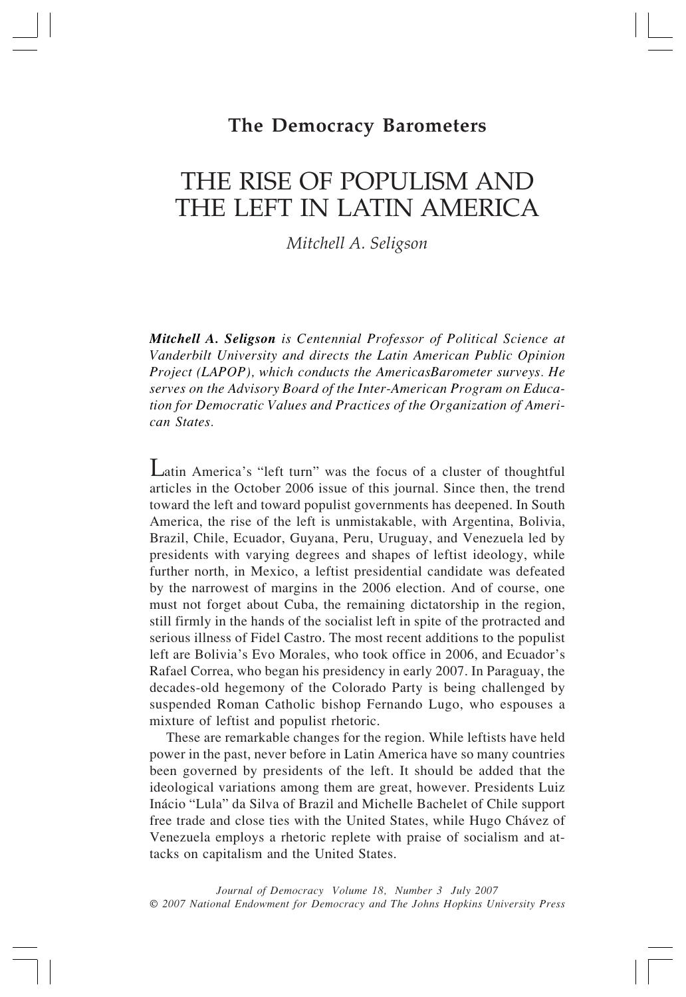## **The Democracy Barometers**

# THE RISE OF POPULISM AND THE LEFT IN LATIN AMERICA

*Mitchell A. Seligson*

*Mitchell A. Seligson is Centennial Professor of Political Science at Vanderbilt University and directs the Latin American Public Opinion Project (LAPOP), which conducts the AmericasBarometer surveys. He serves on the Advisory Board of the Inter-American Program on Education for Democratic Values and Practices of the Organization of American States.*

Latin America's "left turn" was the focus of a cluster of thoughtful articles in the October 2006 issue of this journal. Since then, the trend toward the left and toward populist governments has deepened. In South America, the rise of the left is unmistakable, with Argentina, Bolivia, Brazil, Chile, Ecuador, Guyana, Peru, Uruguay, and Venezuela led by presidents with varying degrees and shapes of leftist ideology, while further north, in Mexico, a leftist presidential candidate was defeated by the narrowest of margins in the 2006 election. And of course, one must not forget about Cuba, the remaining dictatorship in the region, still firmly in the hands of the socialist left in spite of the protracted and serious illness of Fidel Castro. The most recent additions to the populist left are Bolivia's Evo Morales, who took office in 2006, and Ecuador's Rafael Correa, who began his presidency in early 2007. In Paraguay, the decades-old hegemony of the Colorado Party is being challenged by suspended Roman Catholic bishop Fernando Lugo, who espouses a mixture of leftist and populist rhetoric.

These are remarkable changes for the region. While leftists have held power in the past, never before in Latin America have so many countries been governed by presidents of the left. It should be added that the ideological variations among them are great, however. Presidents Luiz Inácio "Lula" da Silva of Brazil and Michelle Bachelet of Chile support free trade and close ties with the United States, while Hugo Chávez of Venezuela employs a rhetoric replete with praise of socialism and attacks on capitalism and the United States.

*Journal of Democracy Volume 18, Number 3 July 2007 © 2007 National Endowment for Democracy and The Johns Hopkins University Press*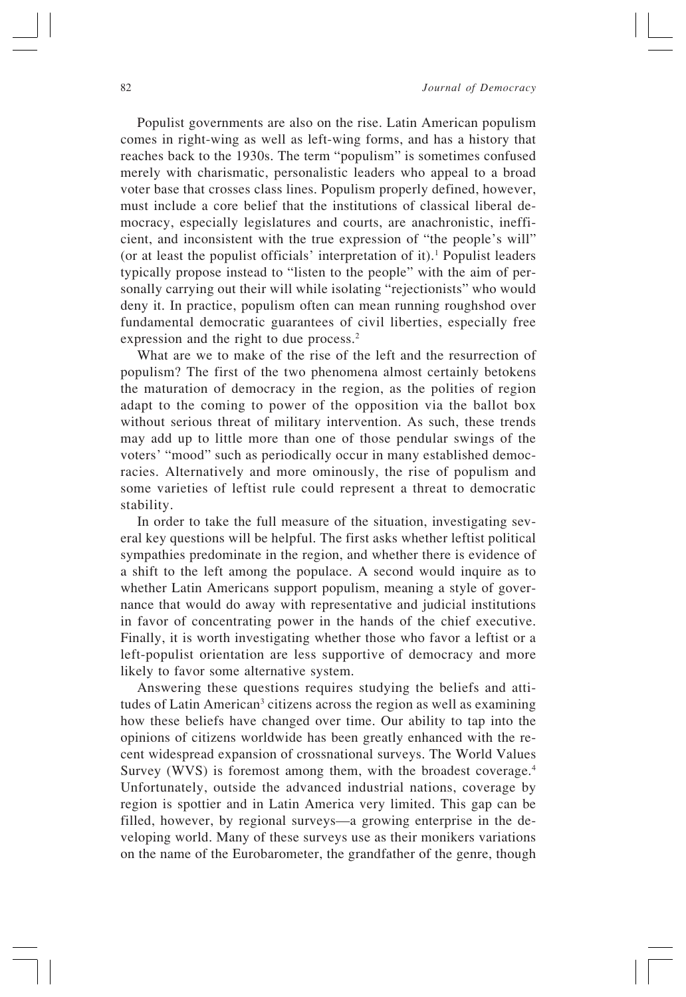Populist governments are also on the rise. Latin American populism comes in right-wing as well as left-wing forms, and has a history that reaches back to the 1930s. The term "populism" is sometimes confused merely with charismatic, personalistic leaders who appeal to a broad voter base that crosses class lines. Populism properly defined, however, must include a core belief that the institutions of classical liberal democracy, especially legislatures and courts, are anachronistic, inefficient, and inconsistent with the true expression of "the people's will" (or at least the populist officials' interpretation of it).<sup>1</sup> Populist leaders typically propose instead to "listen to the people" with the aim of personally carrying out their will while isolating "rejectionists" who would deny it. In practice, populism often can mean running roughshod over fundamental democratic guarantees of civil liberties, especially free expression and the right to due process.<sup>2</sup>

What are we to make of the rise of the left and the resurrection of populism? The first of the two phenomena almost certainly betokens the maturation of democracy in the region, as the polities of region adapt to the coming to power of the opposition via the ballot box without serious threat of military intervention. As such, these trends may add up to little more than one of those pendular swings of the voters' "mood" such as periodically occur in many established democracies. Alternatively and more ominously, the rise of populism and some varieties of leftist rule could represent a threat to democratic stability.

In order to take the full measure of the situation, investigating several key questions will be helpful. The first asks whether leftist political sympathies predominate in the region, and whether there is evidence of a shift to the left among the populace. A second would inquire as to whether Latin Americans support populism, meaning a style of governance that would do away with representative and judicial institutions in favor of concentrating power in the hands of the chief executive. Finally, it is worth investigating whether those who favor a leftist or a left-populist orientation are less supportive of democracy and more likely to favor some alternative system.

Answering these questions requires studying the beliefs and attitudes of Latin American<sup>3</sup> citizens across the region as well as examining how these beliefs have changed over time. Our ability to tap into the opinions of citizens worldwide has been greatly enhanced with the recent widespread expansion of crossnational surveys. The World Values Survey (WVS) is foremost among them, with the broadest coverage.<sup>4</sup> Unfortunately, outside the advanced industrial nations, coverage by region is spottier and in Latin America very limited. This gap can be filled, however, by regional surveys—a growing enterprise in the developing world. Many of these surveys use as their monikers variations on the name of the Eurobarometer, the grandfather of the genre, though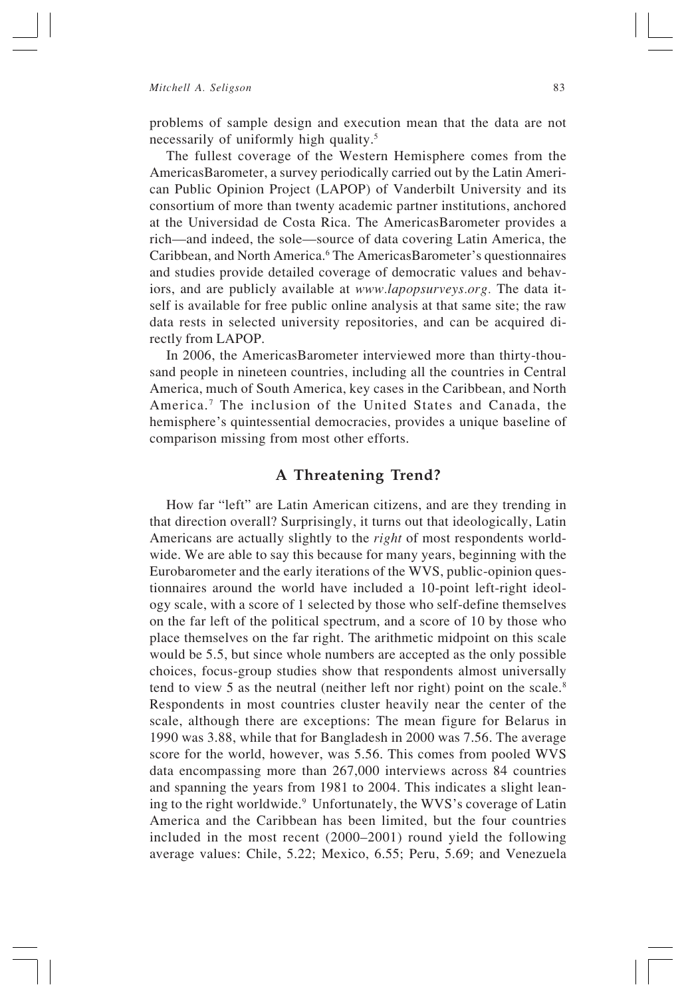problems of sample design and execution mean that the data are not necessarily of uniformly high quality.5

The fullest coverage of the Western Hemisphere comes from the AmericasBarometer, a survey periodically carried out by the Latin American Public Opinion Project (LAPOP) of Vanderbilt University and its consortium of more than twenty academic partner institutions, anchored at the Universidad de Costa Rica. The AmericasBarometer provides a rich—and indeed, the sole—source of data covering Latin America, the Caribbean, and North America.6 The AmericasBarometer's questionnaires and studies provide detailed coverage of democratic values and behaviors, and are publicly available at *www.lapopsurveys.org.* The data itself is available for free public online analysis at that same site; the raw data rests in selected university repositories, and can be acquired directly from LAPOP.

In 2006, the AmericasBarometer interviewed more than thirty-thousand people in nineteen countries, including all the countries in Central America, much of South America, key cases in the Caribbean, and North America.<sup>7</sup> The inclusion of the United States and Canada, the hemisphere's quintessential democracies, provides a unique baseline of comparison missing from most other efforts.

#### **A Threatening Trend?**

How far "left" are Latin American citizens, and are they trending in that direction overall? Surprisingly, it turns out that ideologically, Latin Americans are actually slightly to the *right* of most respondents worldwide. We are able to say this because for many years, beginning with the Eurobarometer and the early iterations of the WVS, public-opinion questionnaires around the world have included a 10-point left-right ideology scale, with a score of 1 selected by those who self-define themselves on the far left of the political spectrum, and a score of 10 by those who place themselves on the far right. The arithmetic midpoint on this scale would be 5.5, but since whole numbers are accepted as the only possible choices, focus-group studies show that respondents almost universally tend to view 5 as the neutral (neither left nor right) point on the scale.<sup>8</sup> Respondents in most countries cluster heavily near the center of the scale, although there are exceptions: The mean figure for Belarus in 1990 was 3.88, while that for Bangladesh in 2000 was 7.56. The average score for the world, however, was 5.56. This comes from pooled WVS data encompassing more than 267,000 interviews across 84 countries and spanning the years from 1981 to 2004. This indicates a slight leaning to the right worldwide.<sup>9</sup> Unfortunately, the WVS's coverage of Latin America and the Caribbean has been limited, but the four countries included in the most recent (2000–2001) round yield the following average values: Chile, 5.22; Mexico, 6.55; Peru, 5.69; and Venezuela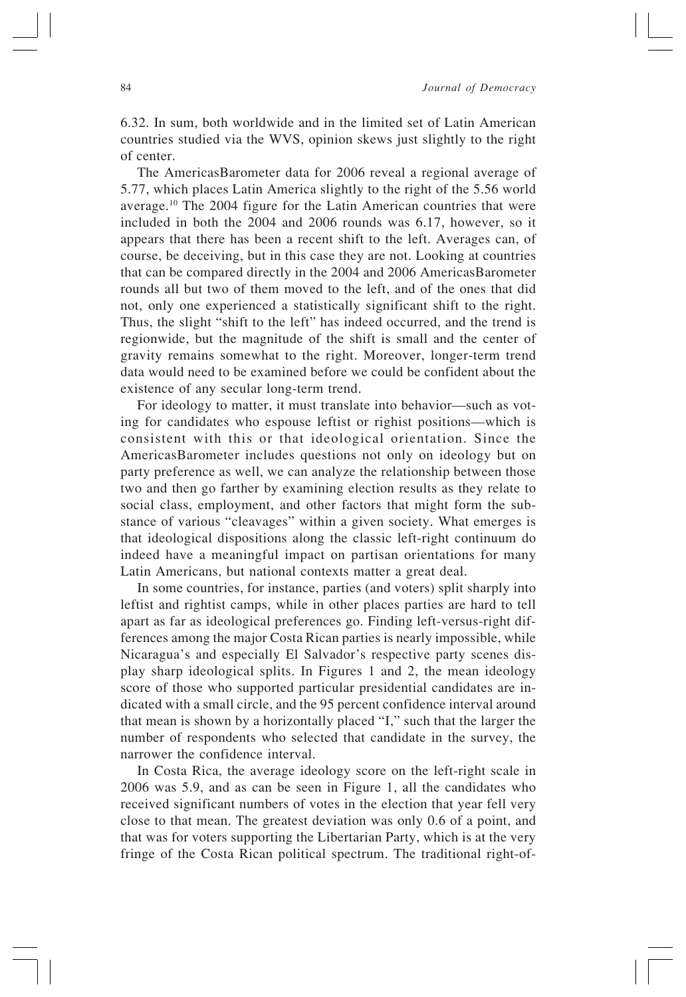6.32. In sum, both worldwide and in the limited set of Latin American countries studied via the WVS, opinion skews just slightly to the right of center.

The AmericasBarometer data for 2006 reveal a regional average of 5.77, which places Latin America slightly to the right of the 5.56 world average.10 The 2004 figure for the Latin American countries that were included in both the 2004 and 2006 rounds was 6.17, however, so it appears that there has been a recent shift to the left. Averages can, of course, be deceiving, but in this case they are not. Looking at countries that can be compared directly in the 2004 and 2006 AmericasBarometer rounds all but two of them moved to the left, and of the ones that did not, only one experienced a statistically significant shift to the right. Thus, the slight "shift to the left" has indeed occurred, and the trend is regionwide, but the magnitude of the shift is small and the center of gravity remains somewhat to the right. Moreover, longer-term trend data would need to be examined before we could be confident about the existence of any secular long-term trend.

For ideology to matter, it must translate into behavior—such as voting for candidates who espouse leftist or righist positions—which is consistent with this or that ideological orientation. Since the AmericasBarometer includes questions not only on ideology but on party preference as well, we can analyze the relationship between those two and then go farther by examining election results as they relate to social class, employment, and other factors that might form the substance of various "cleavages" within a given society. What emerges is that ideological dispositions along the classic left-right continuum do indeed have a meaningful impact on partisan orientations for many Latin Americans, but national contexts matter a great deal.

In some countries, for instance, parties (and voters) split sharply into leftist and rightist camps, while in other places parties are hard to tell apart as far as ideological preferences go. Finding left-versus-right differences among the major Costa Rican parties is nearly impossible, while Nicaragua's and especially El Salvador's respective party scenes display sharp ideological splits. In Figures 1 and 2, the mean ideology score of those who supported particular presidential candidates are indicated with a small circle, and the 95 percent confidence interval around that mean is shown by a horizontally placed "I," such that the larger the number of respondents who selected that candidate in the survey, the narrower the confidence interval.

In Costa Rica, the average ideology score on the left-right scale in 2006 was 5.9, and as can be seen in Figure 1, all the candidates who received significant numbers of votes in the election that year fell very close to that mean. The greatest deviation was only 0.6 of a point, and that was for voters supporting the Libertarian Party, which is at the very fringe of the Costa Rican political spectrum. The traditional right-of-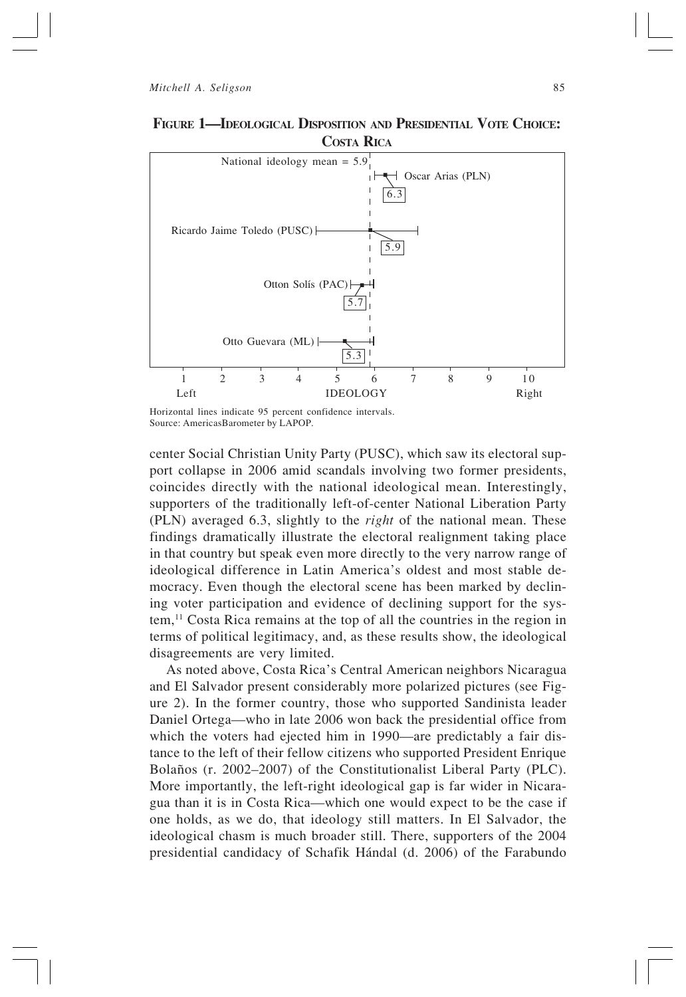

#### **FIGURE 1—IDEOLOGICAL DISPOSITION AND PRESIDENTIAL VOTE CHOICE: COSTA RICA**

Horizontal lines indicate 95 percent confidence intervals. Source: AmericasBarometer by LAPOP.

center Social Christian Unity Party (PUSC), which saw its electoral support collapse in 2006 amid scandals involving two former presidents, coincides directly with the national ideological mean. Interestingly, supporters of the traditionally left-of-center National Liberation Party (PLN) averaged 6.3, slightly to the *right* of the national mean. These findings dramatically illustrate the electoral realignment taking place in that country but speak even more directly to the very narrow range of ideological difference in Latin America's oldest and most stable democracy. Even though the electoral scene has been marked by declining voter participation and evidence of declining support for the sys $tem$ ,<sup>11</sup> Costa Rica remains at the top of all the countries in the region in terms of political legitimacy, and, as these results show, the ideological disagreements are very limited.

As noted above, Costa Rica's Central American neighbors Nicaragua and El Salvador present considerably more polarized pictures (see Figure 2). In the former country, those who supported Sandinista leader Daniel Ortega—who in late 2006 won back the presidential office from which the voters had ejected him in 1990—are predictably a fair distance to the left of their fellow citizens who supported President Enrique Bolaños (r. 2002–2007) of the Constitutionalist Liberal Party (PLC). More importantly, the left-right ideological gap is far wider in Nicaragua than it is in Costa Rica—which one would expect to be the case if one holds, as we do, that ideology still matters. In El Salvador, the ideological chasm is much broader still. There, supporters of the 2004 presidential candidacy of Schafik Hándal (d. 2006) of the Farabundo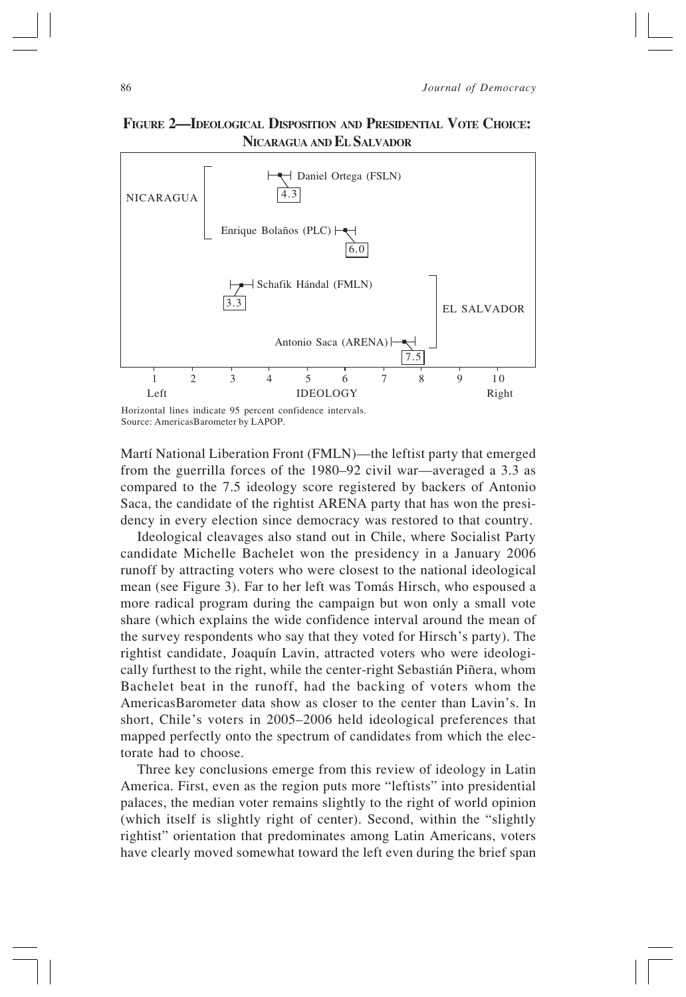### **FIGURE 2—IDEOLOGICAL DISPOSITION AND PRESIDENTIAL VOTE CHOICE: NICARAGUA AND EL SALVADOR**



Horizontal lines indicate 95 percent confidence intervals. Source: AmericasBarometer by LAPOP.

Martí National Liberation Front (FMLN)—the leftist party that emerged from the guerrilla forces of the 1980–92 civil war—averaged a 3.3 as compared to the 7.5 ideology score registered by backers of Antonio Saca, the candidate of the rightist ARENA party that has won the presidency in every election since democracy was restored to that country.

Ideological cleavages also stand out in Chile, where Socialist Party candidate Michelle Bachelet won the presidency in a January 2006 runoff by attracting voters who were closest to the national ideological mean (see Figure 3). Far to her left was Tomás Hirsch, who espoused a more radical program during the campaign but won only a small vote share (which explains the wide confidence interval around the mean of the survey respondents who say that they voted for Hirsch's party). The rightist candidate, Joaquín Lavin, attracted voters who were ideologically furthest to the right, while the center-right Sebastián Piñera, whom Bachelet beat in the runoff, had the backing of voters whom the AmericasBarometer data show as closer to the center than Lavin's. In short, Chile's voters in 2005–2006 held ideological preferences that mapped perfectly onto the spectrum of candidates from which the electorate had to choose.

Three key conclusions emerge from this review of ideology in Latin America. First, even as the region puts more "leftists" into presidential palaces, the median voter remains slightly to the right of world opinion (which itself is slightly right of center). Second, within the "slightly rightist" orientation that predominates among Latin Americans, voters have clearly moved somewhat toward the left even during the brief span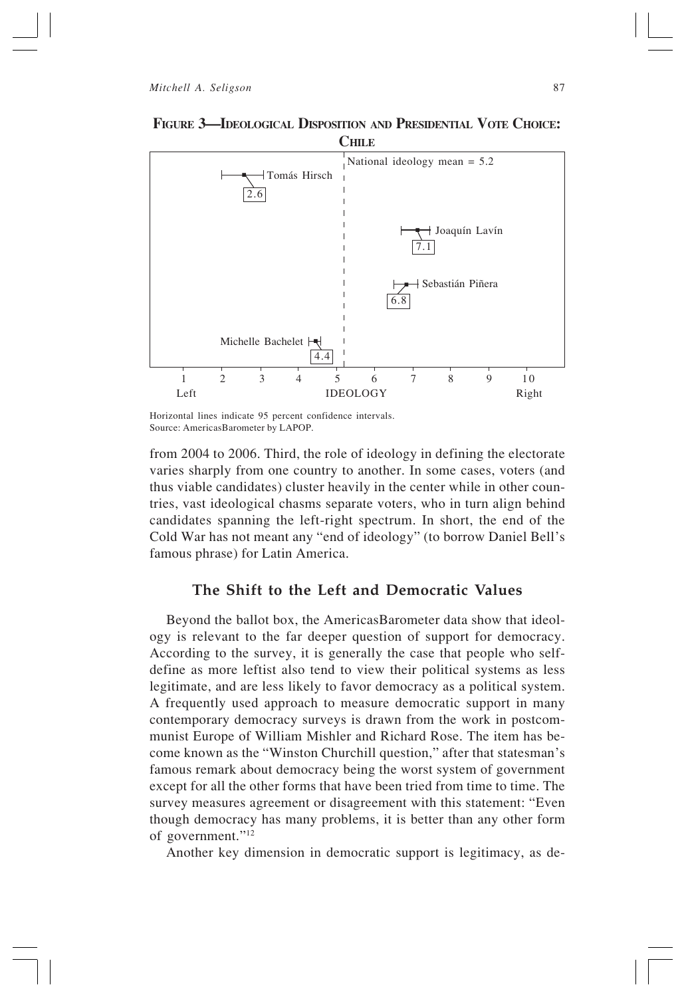

**FIGURE 3—IDEOLOGICAL DISPOSITION AND PRESIDENTIAL VOTE CHOICE: CHILE**

Horizontal lines indicate 95 percent confidence intervals. Source: AmericasBarometer by LAPOP.

from 2004 to 2006. Third, the role of ideology in defining the electorate varies sharply from one country to another. In some cases, voters (and thus viable candidates) cluster heavily in the center while in other countries, vast ideological chasms separate voters, who in turn align behind candidates spanning the left-right spectrum. In short, the end of the Cold War has not meant any "end of ideology" (to borrow Daniel Bell's famous phrase) for Latin America.

#### **The Shift to the Left and Democratic Values**

Beyond the ballot box, the AmericasBarometer data show that ideology is relevant to the far deeper question of support for democracy. According to the survey, it is generally the case that people who selfdefine as more leftist also tend to view their political systems as less legitimate, and are less likely to favor democracy as a political system. A frequently used approach to measure democratic support in many contemporary democracy surveys is drawn from the work in postcommunist Europe of William Mishler and Richard Rose. The item has become known as the "Winston Churchill question," after that statesman's famous remark about democracy being the worst system of government except for all the other forms that have been tried from time to time. The survey measures agreement or disagreement with this statement: "Even though democracy has many problems, it is better than any other form of government."<sup>12</sup>

Another key dimension in democratic support is legitimacy, as de-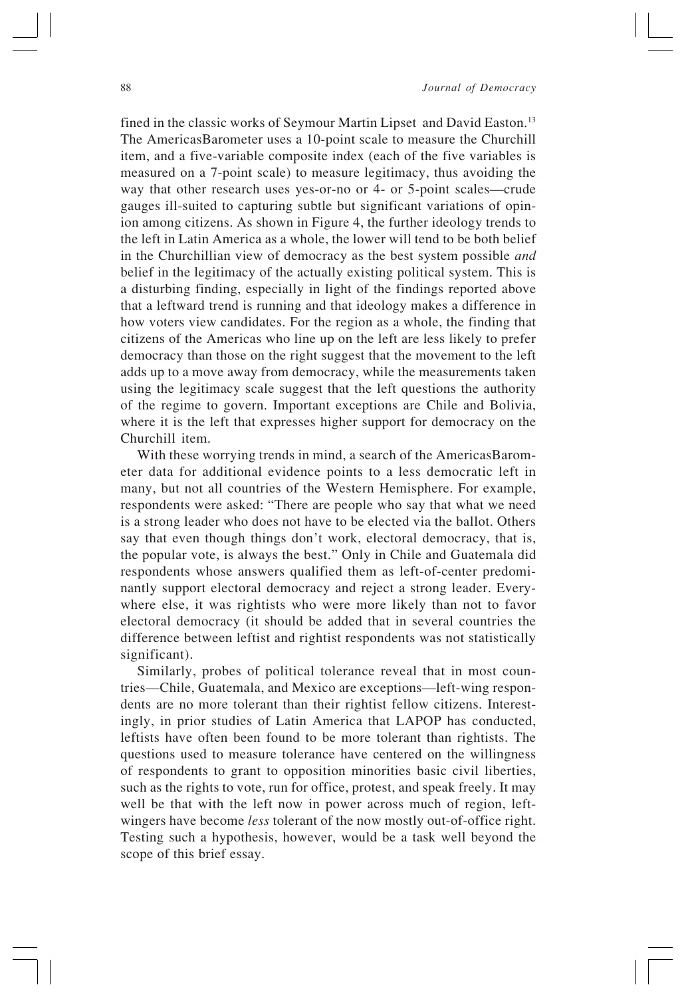fined in the classic works of Seymour Martin Lipset and David Easton.<sup>13</sup> The AmericasBarometer uses a 10-point scale to measure the Churchill item, and a five-variable composite index (each of the five variables is measured on a 7-point scale) to measure legitimacy, thus avoiding the way that other research uses yes-or-no or 4- or 5-point scales—crude gauges ill-suited to capturing subtle but significant variations of opinion among citizens. As shown in Figure 4, the further ideology trends to the left in Latin America as a whole, the lower will tend to be both belief in the Churchillian view of democracy as the best system possible *and* belief in the legitimacy of the actually existing political system. This is a disturbing finding, especially in light of the findings reported above that a leftward trend is running and that ideology makes a difference in how voters view candidates. For the region as a whole, the finding that citizens of the Americas who line up on the left are less likely to prefer democracy than those on the right suggest that the movement to the left adds up to a move away from democracy, while the measurements taken using the legitimacy scale suggest that the left questions the authority of the regime to govern. Important exceptions are Chile and Bolivia, where it is the left that expresses higher support for democracy on the Churchill item.

With these worrying trends in mind, a search of the AmericasBarometer data for additional evidence points to a less democratic left in many, but not all countries of the Western Hemisphere. For example, respondents were asked: "There are people who say that what we need is a strong leader who does not have to be elected via the ballot. Others say that even though things don't work, electoral democracy, that is, the popular vote, is always the best." Only in Chile and Guatemala did respondents whose answers qualified them as left-of-center predominantly support electoral democracy and reject a strong leader. Everywhere else, it was rightists who were more likely than not to favor electoral democracy (it should be added that in several countries the difference between leftist and rightist respondents was not statistically significant).

Similarly, probes of political tolerance reveal that in most countries—Chile, Guatemala, and Mexico are exceptions—left-wing respondents are no more tolerant than their rightist fellow citizens. Interestingly, in prior studies of Latin America that LAPOP has conducted, leftists have often been found to be more tolerant than rightists. The questions used to measure tolerance have centered on the willingness of respondents to grant to opposition minorities basic civil liberties, such as the rights to vote, run for office, protest, and speak freely. It may well be that with the left now in power across much of region, leftwingers have become *less* tolerant of the now mostly out-of-office right. Testing such a hypothesis, however, would be a task well beyond the scope of this brief essay.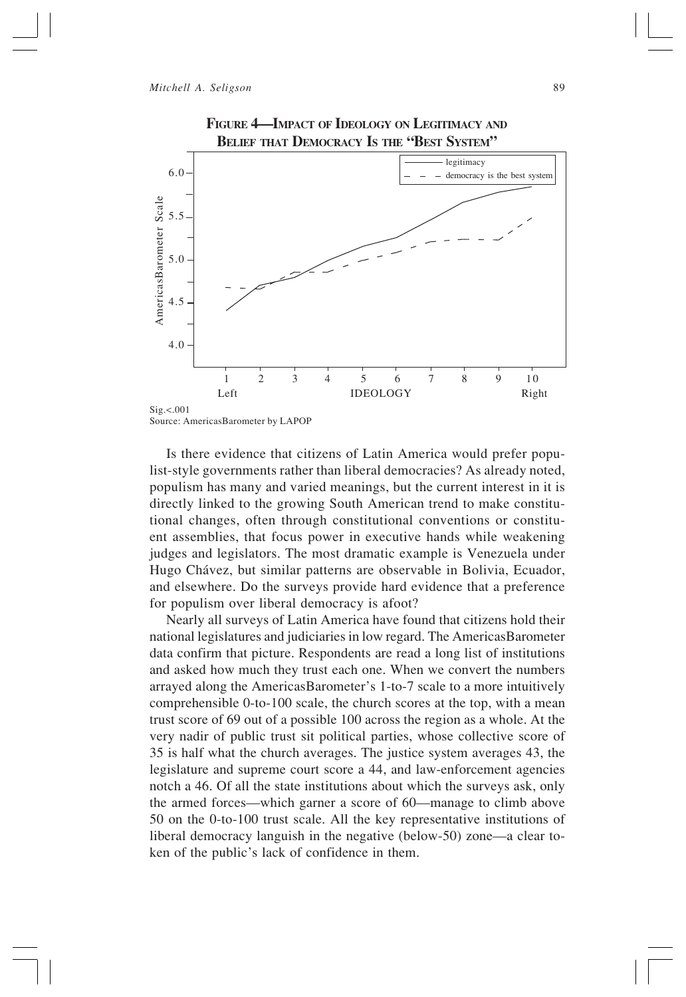



Is there evidence that citizens of Latin America would prefer populist-style governments rather than liberal democracies? As already noted, populism has many and varied meanings, but the current interest in it is directly linked to the growing South American trend to make constitutional changes, often through constitutional conventions or constituent assemblies, that focus power in executive hands while weakening judges and legislators. The most dramatic example is Venezuela under Hugo Chávez, but similar patterns are observable in Bolivia, Ecuador, and elsewhere. Do the surveys provide hard evidence that a preference for populism over liberal democracy is afoot?

Nearly all surveys of Latin America have found that citizens hold their national legislatures and judiciaries in low regard. The AmericasBarometer data confirm that picture. Respondents are read a long list of institutions and asked how much they trust each one. When we convert the numbers arrayed along the AmericasBarometer's 1-to-7 scale to a more intuitively comprehensible 0-to-100 scale, the church scores at the top, with a mean trust score of 69 out of a possible 100 across the region as a whole. At the very nadir of public trust sit political parties, whose collective score of 35 is half what the church averages. The justice system averages 43, the legislature and supreme court score a 44, and law-enforcement agencies notch a 46. Of all the state institutions about which the surveys ask, only the armed forces—which garner a score of 60—manage to climb above 50 on the 0-to-100 trust scale. All the key representative institutions of liberal democracy languish in the negative (below-50) zone—a clear token of the public's lack of confidence in them.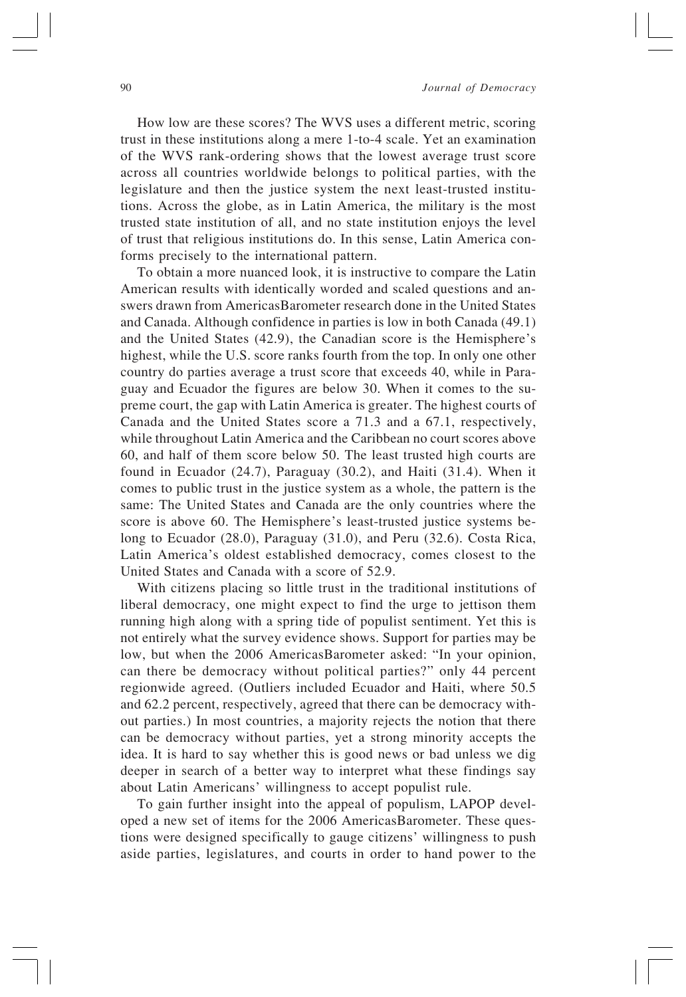How low are these scores? The WVS uses a different metric, scoring trust in these institutions along a mere 1-to-4 scale. Yet an examination of the WVS rank-ordering shows that the lowest average trust score across all countries worldwide belongs to political parties, with the legislature and then the justice system the next least-trusted institutions. Across the globe, as in Latin America, the military is the most trusted state institution of all, and no state institution enjoys the level of trust that religious institutions do. In this sense, Latin America conforms precisely to the international pattern.

To obtain a more nuanced look, it is instructive to compare the Latin American results with identically worded and scaled questions and answers drawn from AmericasBarometer research done in the United States and Canada. Although confidence in parties is low in both Canada (49.1) and the United States (42.9), the Canadian score is the Hemisphere's highest, while the U.S. score ranks fourth from the top. In only one other country do parties average a trust score that exceeds 40, while in Paraguay and Ecuador the figures are below 30. When it comes to the supreme court, the gap with Latin America is greater. The highest courts of Canada and the United States score a 71.3 and a 67.1, respectively, while throughout Latin America and the Caribbean no court scores above 60, and half of them score below 50. The least trusted high courts are found in Ecuador (24.7), Paraguay (30.2), and Haiti (31.4). When it comes to public trust in the justice system as a whole, the pattern is the same: The United States and Canada are the only countries where the score is above 60. The Hemisphere's least-trusted justice systems belong to Ecuador (28.0), Paraguay (31.0), and Peru (32.6). Costa Rica, Latin America's oldest established democracy, comes closest to the United States and Canada with a score of 52.9.

With citizens placing so little trust in the traditional institutions of liberal democracy, one might expect to find the urge to jettison them running high along with a spring tide of populist sentiment. Yet this is not entirely what the survey evidence shows. Support for parties may be low, but when the 2006 AmericasBarometer asked: "In your opinion, can there be democracy without political parties?" only 44 percent regionwide agreed. (Outliers included Ecuador and Haiti, where 50.5 and 62.2 percent, respectively, agreed that there can be democracy without parties.) In most countries, a majority rejects the notion that there can be democracy without parties, yet a strong minority accepts the idea. It is hard to say whether this is good news or bad unless we dig deeper in search of a better way to interpret what these findings say about Latin Americans' willingness to accept populist rule.

To gain further insight into the appeal of populism, LAPOP developed a new set of items for the 2006 AmericasBarometer. These questions were designed specifically to gauge citizens' willingness to push aside parties, legislatures, and courts in order to hand power to the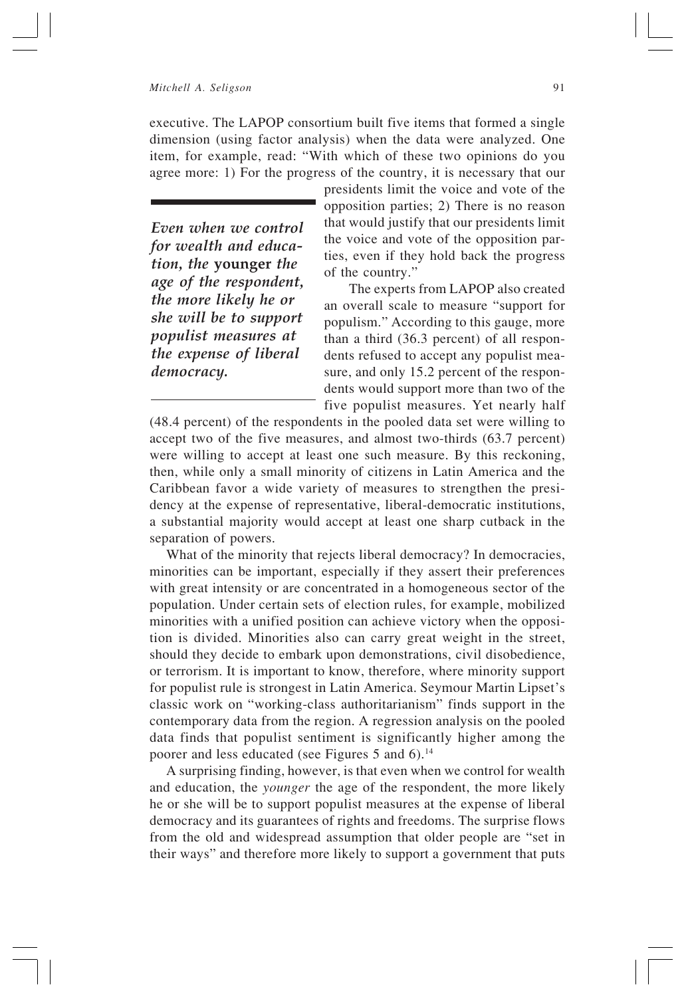executive. The LAPOP consortium built five items that formed a single dimension (using factor analysis) when the data were analyzed. One item, for example, read: "With which of these two opinions do you agree more: 1) For the progress of the country, it is necessary that our

*Even when we control for wealth and education, the* **younger** *the age of the respondent, the more likely he or she will be to support populist measures at the expense of liberal democracy.*

presidents limit the voice and vote of the opposition parties; 2) There is no reason that would justify that our presidents limit the voice and vote of the opposition parties, even if they hold back the progress of the country."

The experts from LAPOP also created an overall scale to measure "support for populism." According to this gauge, more than a third (36.3 percent) of all respondents refused to accept any populist measure, and only 15.2 percent of the respondents would support more than two of the five populist measures. Yet nearly half

(48.4 percent) of the respondents in the pooled data set were willing to accept two of the five measures, and almost two-thirds (63.7 percent) were willing to accept at least one such measure. By this reckoning, then, while only a small minority of citizens in Latin America and the Caribbean favor a wide variety of measures to strengthen the presidency at the expense of representative, liberal-democratic institutions, a substantial majority would accept at least one sharp cutback in the separation of powers.

What of the minority that rejects liberal democracy? In democracies, minorities can be important, especially if they assert their preferences with great intensity or are concentrated in a homogeneous sector of the population. Under certain sets of election rules, for example, mobilized minorities with a unified position can achieve victory when the opposition is divided. Minorities also can carry great weight in the street, should they decide to embark upon demonstrations, civil disobedience, or terrorism. It is important to know, therefore, where minority support for populist rule is strongest in Latin America. Seymour Martin Lipset's classic work on "working-class authoritarianism" finds support in the contemporary data from the region. A regression analysis on the pooled data finds that populist sentiment is significantly higher among the poorer and less educated (see Figures 5 and 6).<sup>14</sup>

A surprising finding, however, is that even when we control for wealth and education, the *younger* the age of the respondent, the more likely he or she will be to support populist measures at the expense of liberal democracy and its guarantees of rights and freedoms. The surprise flows from the old and widespread assumption that older people are "set in their ways" and therefore more likely to support a government that puts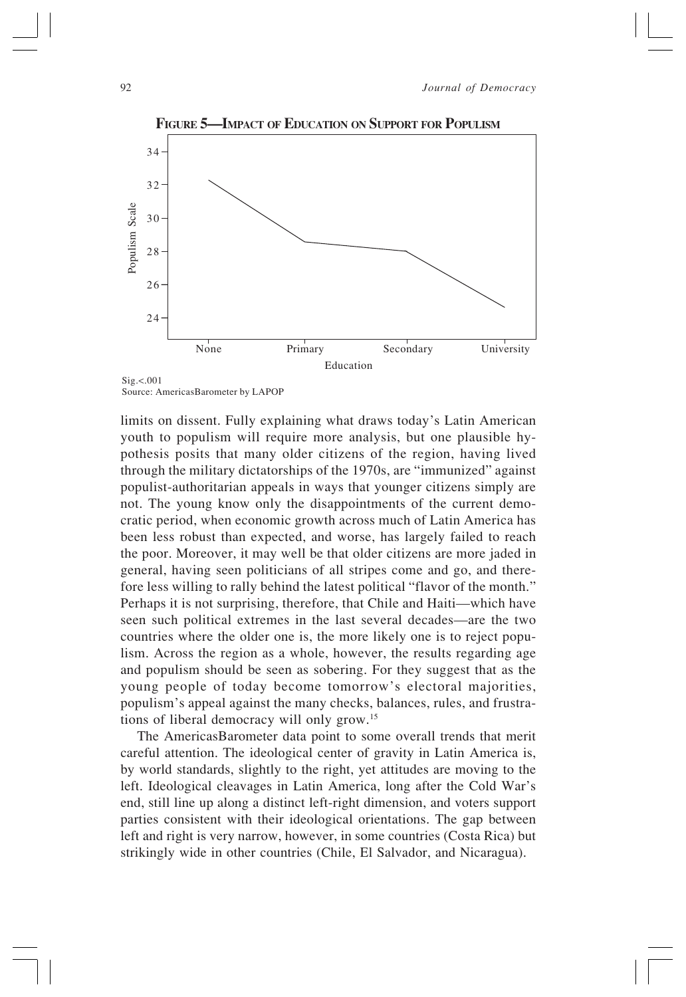

**FIGURE 5—IMPACT OF EDUCATION ON SUPPORT FOR POPULISM**

limits on dissent. Fully explaining what draws today's Latin American youth to populism will require more analysis, but one plausible hypothesis posits that many older citizens of the region, having lived through the military dictatorships of the 1970s, are "immunized" against populist-authoritarian appeals in ways that younger citizens simply are not. The young know only the disappointments of the current democratic period, when economic growth across much of Latin America has been less robust than expected, and worse, has largely failed to reach the poor. Moreover, it may well be that older citizens are more jaded in general, having seen politicians of all stripes come and go, and therefore less willing to rally behind the latest political "flavor of the month." Perhaps it is not surprising, therefore, that Chile and Haiti—which have seen such political extremes in the last several decades—are the two countries where the older one is, the more likely one is to reject populism. Across the region as a whole, however, the results regarding age and populism should be seen as sobering. For they suggest that as the young people of today become tomorrow's electoral majorities, populism's appeal against the many checks, balances, rules, and frustrations of liberal democracy will only grow.15

The AmericasBarometer data point to some overall trends that merit careful attention. The ideological center of gravity in Latin America is, by world standards, slightly to the right, yet attitudes are moving to the left. Ideological cleavages in Latin America, long after the Cold War's end, still line up along a distinct left-right dimension, and voters support parties consistent with their ideological orientations. The gap between left and right is very narrow, however, in some countries (Costa Rica) but strikingly wide in other countries (Chile, El Salvador, and Nicaragua).

Sig.<.001 Source: AmericasBarometer by LAPOP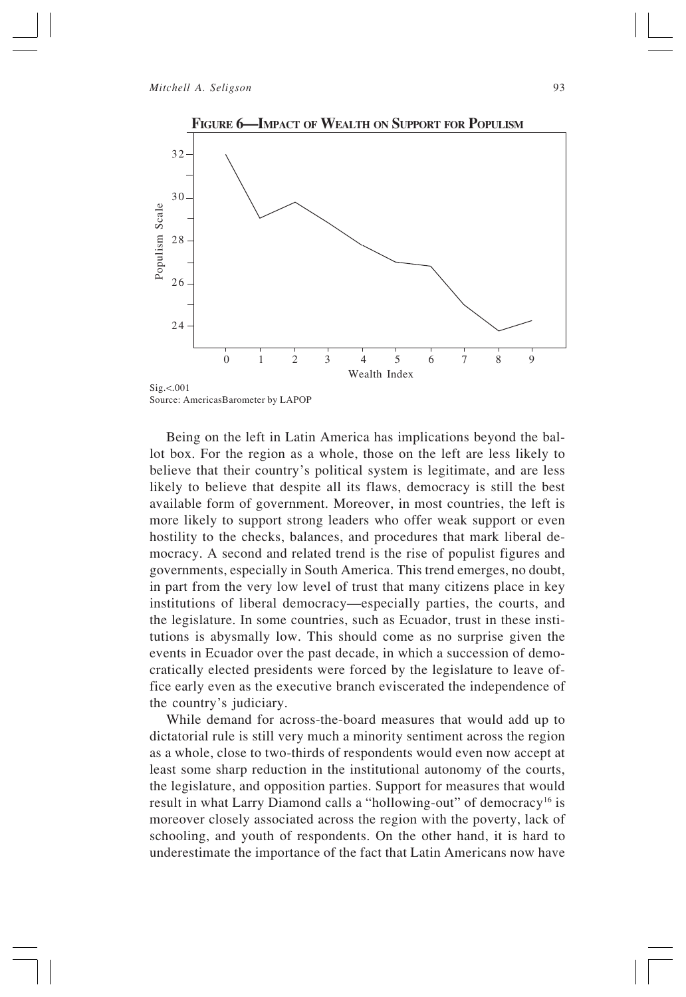

Source: AmericasBarometer by LAPOP

Being on the left in Latin America has implications beyond the ballot box. For the region as a whole, those on the left are less likely to believe that their country's political system is legitimate, and are less likely to believe that despite all its flaws, democracy is still the best available form of government. Moreover, in most countries, the left is more likely to support strong leaders who offer weak support or even hostility to the checks, balances, and procedures that mark liberal democracy. A second and related trend is the rise of populist figures and governments, especially in South America. This trend emerges, no doubt, in part from the very low level of trust that many citizens place in key institutions of liberal democracy—especially parties, the courts, and the legislature. In some countries, such as Ecuador, trust in these institutions is abysmally low. This should come as no surprise given the events in Ecuador over the past decade, in which a succession of democratically elected presidents were forced by the legislature to leave office early even as the executive branch eviscerated the independence of the country's judiciary.

While demand for across-the-board measures that would add up to dictatorial rule is still very much a minority sentiment across the region as a whole, close to two-thirds of respondents would even now accept at least some sharp reduction in the institutional autonomy of the courts, the legislature, and opposition parties. Support for measures that would result in what Larry Diamond calls a "hollowing-out" of democracy<sup>16</sup> is moreover closely associated across the region with the poverty, lack of schooling, and youth of respondents. On the other hand, it is hard to underestimate the importance of the fact that Latin Americans now have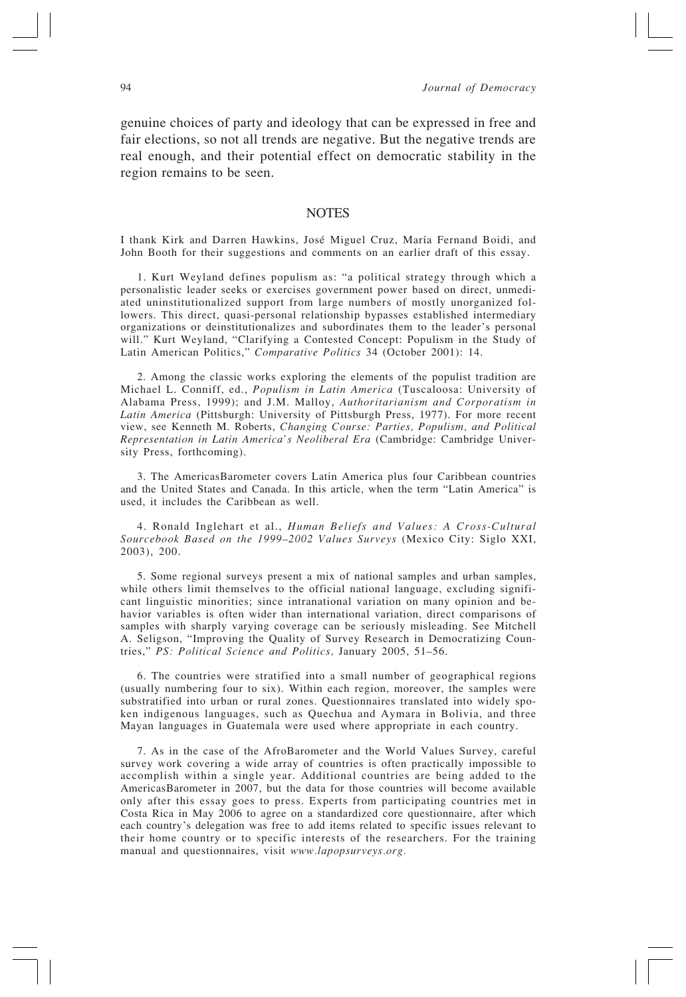genuine choices of party and ideology that can be expressed in free and fair elections, so not all trends are negative. But the negative trends are real enough, and their potential effect on democratic stability in the region remains to be seen.

#### **NOTES**

I thank Kirk and Darren Hawkins, José Miguel Cruz, María Fernand Boidi, and John Booth for their suggestions and comments on an earlier draft of this essay.

1. Kurt Weyland defines populism as: "a political strategy through which a personalistic leader seeks or exercises government power based on direct, unmediated uninstitutionalized support from large numbers of mostly unorganized followers. This direct, quasi-personal relationship bypasses established intermediary organizations or deinstitutionalizes and subordinates them to the leader's personal will." Kurt Weyland, "Clarifying a Contested Concept: Populism in the Study of Latin American Politics," *Comparative Politics* 34 (October 2001): 14.

2. Among the classic works exploring the elements of the populist tradition are Michael L. Conniff, ed., *Populism in Latin America* (Tuscaloosa: University of Alabama Press, 1999); and J.M. Malloy, *Authoritarianism and Corporatism in Latin America* (Pittsburgh: University of Pittsburgh Press, 1977). For more recent view, see Kenneth M. Roberts, *Changing Course: Parties, Populism, and Political Representation in Latin America's Neoliberal Era* (Cambridge: Cambridge University Press, forthcoming).

3. The AmericasBarometer covers Latin America plus four Caribbean countries and the United States and Canada. In this article, when the term "Latin America" is used, it includes the Caribbean as well.

4. Ronald Inglehart et al., *Human Beliefs and Values: A Cross-Cultural Sourcebook Based on the 1999–2002 Values Surveys* (Mexico City: Siglo XXI, 2003), 200.

5. Some regional surveys present a mix of national samples and urban samples, while others limit themselves to the official national language, excluding significant linguistic minorities; since intranational variation on many opinion and behavior variables is often wider than international variation, direct comparisons of samples with sharply varying coverage can be seriously misleading. See Mitchell A. Seligson, "Improving the Quality of Survey Research in Democratizing Countries," *PS: Political Science and Politics,* January 2005, 51–56.

6. The countries were stratified into a small number of geographical regions (usually numbering four to six). Within each region, moreover, the samples were substratified into urban or rural zones. Questionnaires translated into widely spoken indigenous languages, such as Quechua and Aymara in Bolivia, and three Mayan languages in Guatemala were used where appropriate in each country.

7. As in the case of the AfroBarometer and the World Values Survey, careful survey work covering a wide array of countries is often practically impossible to accomplish within a single year. Additional countries are being added to the AmericasBarometer in 2007, but the data for those countries will become available only after this essay goes to press. Experts from participating countries met in Costa Rica in May 2006 to agree on a standardized core questionnaire, after which each country's delegation was free to add items related to specific issues relevant to their home country or to specific interests of the researchers. For the training manual and questionnaires, visit *www.lapopsurveys.org.*